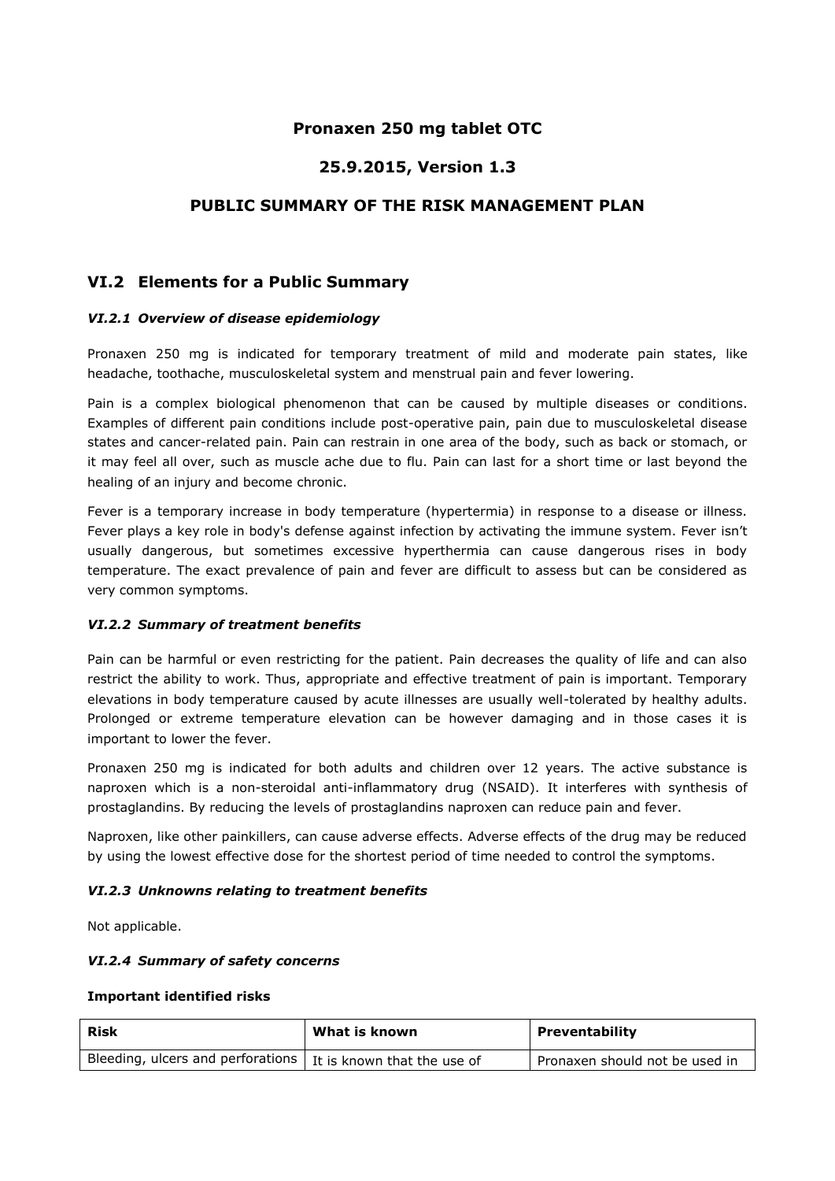# **Pronaxen 250 mg tablet OTC**

# **25.9.2015, Version 1.3**

# **PUBLIC SUMMARY OF THE RISK MANAGEMENT PLAN**

# **VI.2 Elements for a Public Summary**

#### *VI.2.1 Overview of disease epidemiology*

Pronaxen 250 mg is indicated for temporary treatment of mild and moderate pain states, like headache, toothache, musculoskeletal system and menstrual pain and fever lowering.

Pain is a complex biological phenomenon that can be caused by multiple diseases or conditions. Examples of different pain conditions include post-operative pain, pain due to musculoskeletal disease states and cancer-related pain. Pain can restrain in one area of the body, such as back or stomach, or it may feel all over, such as muscle ache due to flu. Pain can last for a short time or last beyond the healing of an injury and become chronic.

Fever is a temporary increase in body temperature (hypertermia) in response to a disease or illness. Fever plays a key role in body's defense against infection by activating the immune system. Fever isn't usually dangerous, but sometimes excessive hyperthermia can cause dangerous rises in body temperature. The exact prevalence of pain and fever are difficult to assess but can be considered as very common symptoms.

## *VI.2.2 Summary of treatment benefits*

Pain can be harmful or even restricting for the patient. Pain decreases the quality of life and can also restrict the ability to work. Thus, appropriate and effective treatment of pain is important. Temporary elevations in body temperature caused by acute illnesses are usually well-tolerated by healthy adults. Prolonged or extreme temperature elevation can be however damaging and in those cases it is important to lower the fever.

Pronaxen 250 mg is indicated for both adults and children over 12 years. The active substance is naproxen which is a non-steroidal anti-inflammatory drug (NSAID). It interferes with synthesis of prostaglandins. By reducing the levels of prostaglandins naproxen can reduce pain and fever.

Naproxen, like other painkillers, can cause adverse effects. Adverse effects of the drug may be reduced by using the lowest effective dose for the shortest period of time needed to control the symptoms.

#### *VI.2.3 Unknowns relating to treatment benefits*

Not applicable.

## *VI.2.4 Summary of safety concerns*

#### **Important identified risks**

| <b>Risk</b>                                                     | What is known | <b>Preventability</b>          |
|-----------------------------------------------------------------|---------------|--------------------------------|
| Bleeding, ulcers and perforations   It is known that the use of |               | Pronaxen should not be used in |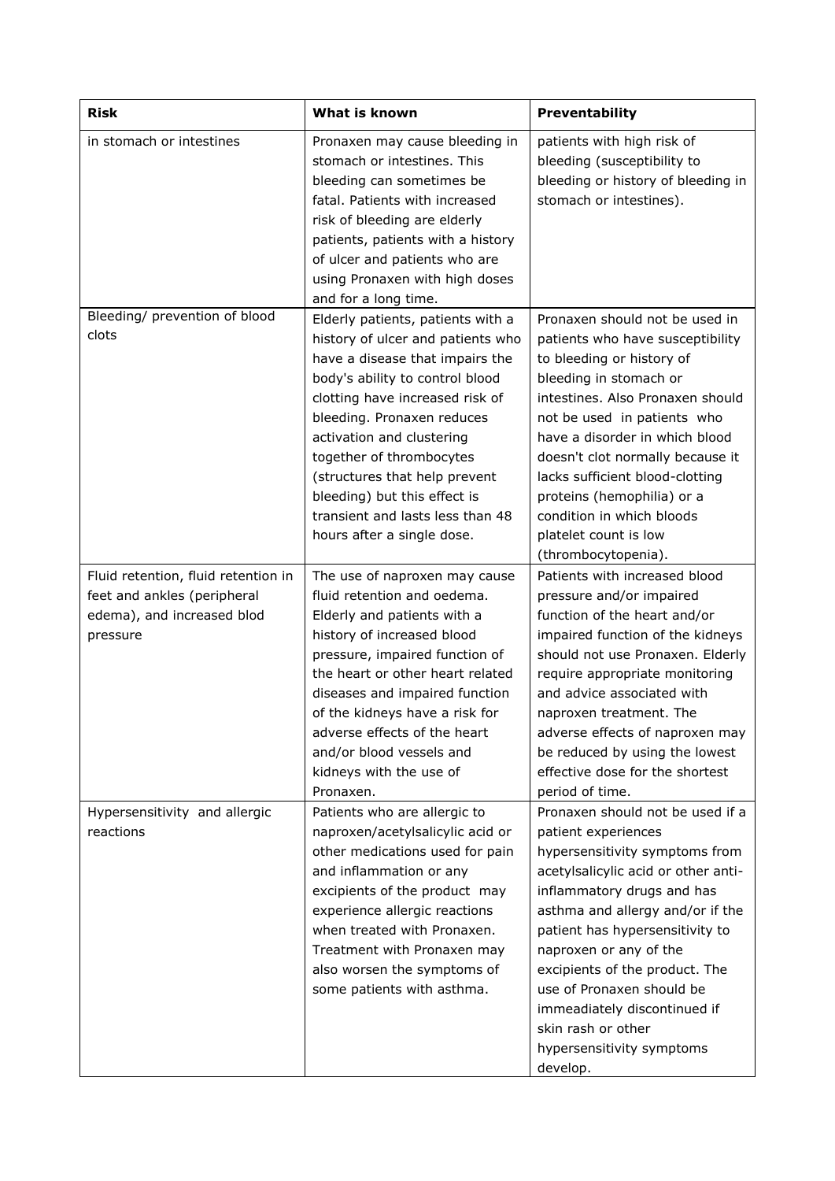| <b>Risk</b>                                                                                                  | <b>What is known</b>                                                                                                                                                                                                                                                                                                                                                                                                              | Preventability                                                                                                                                                                                                                                                                                                                                                                                                                |
|--------------------------------------------------------------------------------------------------------------|-----------------------------------------------------------------------------------------------------------------------------------------------------------------------------------------------------------------------------------------------------------------------------------------------------------------------------------------------------------------------------------------------------------------------------------|-------------------------------------------------------------------------------------------------------------------------------------------------------------------------------------------------------------------------------------------------------------------------------------------------------------------------------------------------------------------------------------------------------------------------------|
| in stomach or intestines                                                                                     | Pronaxen may cause bleeding in<br>stomach or intestines. This<br>bleeding can sometimes be<br>fatal. Patients with increased<br>risk of bleeding are elderly<br>patients, patients with a history<br>of ulcer and patients who are<br>using Pronaxen with high doses                                                                                                                                                              | patients with high risk of<br>bleeding (susceptibility to<br>bleeding or history of bleeding in<br>stomach or intestines).                                                                                                                                                                                                                                                                                                    |
| Bleeding/ prevention of blood<br>clots                                                                       | and for a long time.<br>Elderly patients, patients with a<br>history of ulcer and patients who<br>have a disease that impairs the<br>body's ability to control blood<br>clotting have increased risk of<br>bleeding. Pronaxen reduces<br>activation and clustering<br>together of thrombocytes<br>(structures that help prevent<br>bleeding) but this effect is<br>transient and lasts less than 48<br>hours after a single dose. | Pronaxen should not be used in<br>patients who have susceptibility<br>to bleeding or history of<br>bleeding in stomach or<br>intestines. Also Pronaxen should<br>not be used in patients who<br>have a disorder in which blood<br>doesn't clot normally because it<br>lacks sufficient blood-clotting<br>proteins (hemophilia) or a<br>condition in which bloods<br>platelet count is low<br>(thrombocytopenia).              |
| Fluid retention, fluid retention in<br>feet and ankles (peripheral<br>edema), and increased blod<br>pressure | The use of naproxen may cause<br>fluid retention and oedema.<br>Elderly and patients with a<br>history of increased blood<br>pressure, impaired function of<br>the heart or other heart related<br>diseases and impaired function<br>of the kidneys have a risk for<br>adverse effects of the heart<br>and/or blood vessels and<br>kidneys with the use of<br>Pronaxen.                                                           | Patients with increased blood<br>pressure and/or impaired<br>function of the heart and/or<br>impaired function of the kidneys<br>should not use Pronaxen. Elderly<br>require appropriate monitoring<br>and advice associated with<br>naproxen treatment. The<br>adverse effects of naproxen may<br>be reduced by using the lowest<br>effective dose for the shortest<br>period of time.                                       |
| Hypersensitivity and allergic<br>reactions                                                                   | Patients who are allergic to<br>naproxen/acetylsalicylic acid or<br>other medications used for pain<br>and inflammation or any<br>excipients of the product may<br>experience allergic reactions<br>when treated with Pronaxen.<br>Treatment with Pronaxen may<br>also worsen the symptoms of<br>some patients with asthma.                                                                                                       | Pronaxen should not be used if a<br>patient experiences<br>hypersensitivity symptoms from<br>acetylsalicylic acid or other anti-<br>inflammatory drugs and has<br>asthma and allergy and/or if the<br>patient has hypersensitivity to<br>naproxen or any of the<br>excipients of the product. The<br>use of Pronaxen should be<br>immeadiately discontinued if<br>skin rash or other<br>hypersensitivity symptoms<br>develop. |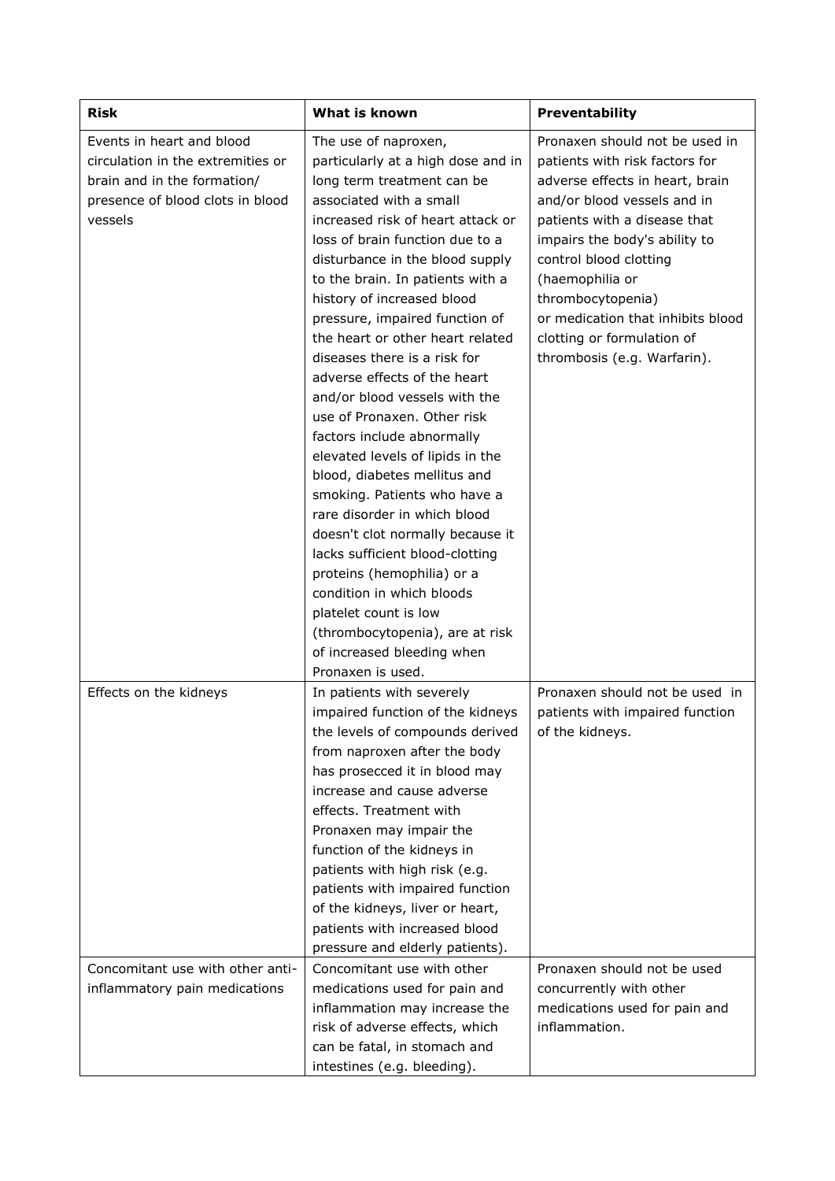| <b>Risk</b>                                                                                                                                  | What is known                                                                                                                                                                                                                                                                                                                                                                                                                                                                                                                                                                                                                                                                                                                                                                                                                       | Preventability                                                                                                                                                                                                                                                                                                                                                          |
|----------------------------------------------------------------------------------------------------------------------------------------------|-------------------------------------------------------------------------------------------------------------------------------------------------------------------------------------------------------------------------------------------------------------------------------------------------------------------------------------------------------------------------------------------------------------------------------------------------------------------------------------------------------------------------------------------------------------------------------------------------------------------------------------------------------------------------------------------------------------------------------------------------------------------------------------------------------------------------------------|-------------------------------------------------------------------------------------------------------------------------------------------------------------------------------------------------------------------------------------------------------------------------------------------------------------------------------------------------------------------------|
| Events in heart and blood<br>circulation in the extremities or<br>brain and in the formation/<br>presence of blood clots in blood<br>vessels | The use of naproxen,<br>particularly at a high dose and in<br>long term treatment can be<br>associated with a small<br>increased risk of heart attack or<br>loss of brain function due to a<br>disturbance in the blood supply<br>to the brain. In patients with a<br>history of increased blood<br>pressure, impaired function of<br>the heart or other heart related<br>diseases there is a risk for<br>adverse effects of the heart<br>and/or blood vessels with the<br>use of Pronaxen. Other risk<br>factors include abnormally<br>elevated levels of lipids in the<br>blood, diabetes mellitus and<br>smoking. Patients who have a<br>rare disorder in which blood<br>doesn't clot normally because it<br>lacks sufficient blood-clotting<br>proteins (hemophilia) or a<br>condition in which bloods<br>platelet count is low | Pronaxen should not be used in<br>patients with risk factors for<br>adverse effects in heart, brain<br>and/or blood vessels and in<br>patients with a disease that<br>impairs the body's ability to<br>control blood clotting<br>(haemophilia or<br>thrombocytopenia)<br>or medication that inhibits blood<br>clotting or formulation of<br>thrombosis (e.g. Warfarin). |
| Effects on the kidneys                                                                                                                       | (thrombocytopenia), are at risk<br>of increased bleeding when<br>Pronaxen is used.<br>In patients with severely<br>impaired function of the kidneys<br>the levels of compounds derived<br>from naproxen after the body<br>has prosecced it in blood may<br>increase and cause adverse<br>effects. Treatment with<br>Pronaxen may impair the<br>function of the kidneys in<br>patients with high risk (e.g.<br>patients with impaired function<br>of the kidneys, liver or heart,<br>patients with increased blood<br>pressure and elderly patients).                                                                                                                                                                                                                                                                                | Pronaxen should not be used in<br>patients with impaired function<br>of the kidneys.                                                                                                                                                                                                                                                                                    |
| Concomitant use with other anti-<br>inflammatory pain medications                                                                            | Concomitant use with other<br>medications used for pain and<br>inflammation may increase the<br>risk of adverse effects, which<br>can be fatal, in stomach and<br>intestines (e.g. bleeding).                                                                                                                                                                                                                                                                                                                                                                                                                                                                                                                                                                                                                                       | Pronaxen should not be used<br>concurrently with other<br>medications used for pain and<br>inflammation.                                                                                                                                                                                                                                                                |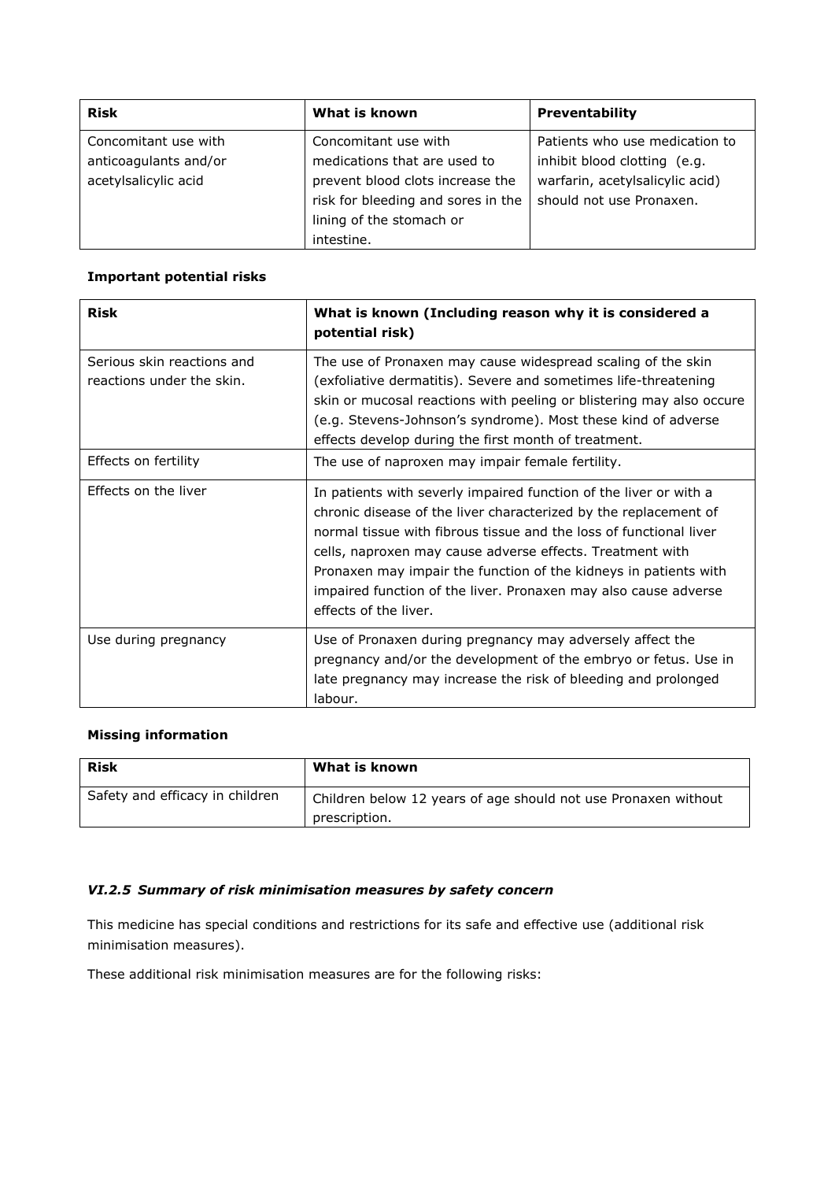| <b>Risk</b>           | What is known                      | <b>Preventability</b>           |
|-----------------------|------------------------------------|---------------------------------|
| Concomitant use with  | Concomitant use with               | Patients who use medication to  |
| anticoagulants and/or | medications that are used to       | inhibit blood clotting (e.g.    |
| acetylsalicylic acid  | prevent blood clots increase the   | warfarin, acetylsalicylic acid) |
|                       | risk for bleeding and sores in the | should not use Pronaxen.        |
|                       | lining of the stomach or           |                                 |
|                       | intestine.                         |                                 |

## **Important potential risks**

| <b>Risk</b>                                             | What is known (Including reason why it is considered a<br>potential risk)                                                                                                                                                                                                                                                                                                                                                                |
|---------------------------------------------------------|------------------------------------------------------------------------------------------------------------------------------------------------------------------------------------------------------------------------------------------------------------------------------------------------------------------------------------------------------------------------------------------------------------------------------------------|
| Serious skin reactions and<br>reactions under the skin. | The use of Pronaxen may cause widespread scaling of the skin<br>(exfoliative dermatitis). Severe and sometimes life-threatening<br>skin or mucosal reactions with peeling or blistering may also occure<br>(e.g. Stevens-Johnson's syndrome). Most these kind of adverse<br>effects develop during the first month of treatment.                                                                                                         |
| Effects on fertility                                    | The use of naproxen may impair female fertility.                                                                                                                                                                                                                                                                                                                                                                                         |
| Effects on the liver                                    | In patients with severly impaired function of the liver or with a<br>chronic disease of the liver characterized by the replacement of<br>normal tissue with fibrous tissue and the loss of functional liver<br>cells, naproxen may cause adverse effects. Treatment with<br>Pronaxen may impair the function of the kidneys in patients with<br>impaired function of the liver. Pronaxen may also cause adverse<br>effects of the liver. |
| Use during pregnancy                                    | Use of Pronaxen during pregnancy may adversely affect the<br>pregnancy and/or the development of the embryo or fetus. Use in<br>late pregnancy may increase the risk of bleeding and prolonged<br>labour.                                                                                                                                                                                                                                |

# **Missing information**

| <b>Risk</b>                     | What is known                                                  |
|---------------------------------|----------------------------------------------------------------|
| Safety and efficacy in children | Children below 12 years of age should not use Pronaxen without |
|                                 | prescription.                                                  |

## *VI.2.5 Summary of risk minimisation measures by safety concern*

This medicine has special conditions and restrictions for its safe and effective use (additional risk minimisation measures).

These additional risk minimisation measures are for the following risks: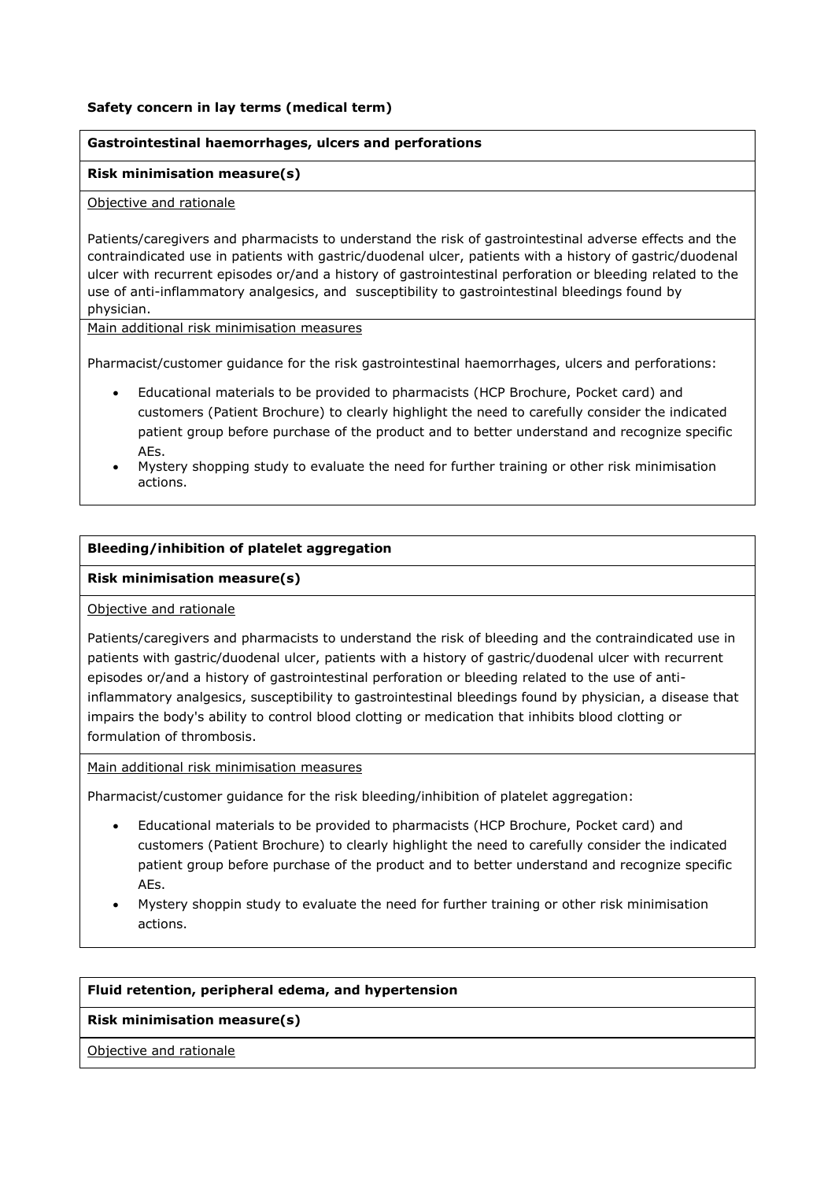#### **Safety concern in lay terms (medical term)**

#### **Gastrointestinal haemorrhages, ulcers and perforations**

#### **Risk minimisation measure(s)**

#### Objective and rationale

Patients/caregivers and pharmacists to understand the risk of gastrointestinal adverse effects and the contraindicated use in patients with gastric/duodenal ulcer, patients with a history of gastric/duodenal ulcer with recurrent episodes or/and a history of gastrointestinal perforation or bleeding related to the use of anti-inflammatory analgesics, and susceptibility to gastrointestinal bleedings found by physician.

Main additional risk minimisation measures

Pharmacist/customer guidance for the risk gastrointestinal haemorrhages, ulcers and perforations:

- Educational materials to be provided to pharmacists (HCP Brochure, Pocket card) and customers (Patient Brochure) to clearly highlight the need to carefully consider the indicated patient group before purchase of the product and to better understand and recognize specific AEs.
- Mystery shopping study to evaluate the need for further training or other risk minimisation actions.

## **Bleeding/inhibition of platelet aggregation**

#### **Risk minimisation measure(s)**

#### Objective and rationale

Patients/caregivers and pharmacists to understand the risk of bleeding and the contraindicated use in patients with gastric/duodenal ulcer, patients with a history of gastric/duodenal ulcer with recurrent episodes or/and a history of gastrointestinal perforation or bleeding related to the use of antiinflammatory analgesics, susceptibility to gastrointestinal bleedings found by physician, a disease that impairs the body's ability to control blood clotting or medication that inhibits blood clotting or formulation of thrombosis.

Main additional risk minimisation measures

Pharmacist/customer guidance for the risk bleeding/inhibition of platelet aggregation:

- Educational materials to be provided to pharmacists (HCP Brochure, Pocket card) and customers (Patient Brochure) to clearly highlight the need to carefully consider the indicated patient group before purchase of the product and to better understand and recognize specific AEs.
- Mystery shoppin study to evaluate the need for further training or other risk minimisation actions.

#### **Fluid retention, peripheral edema, and hypertension**

## **Risk minimisation measure(s)**

Objective and rationale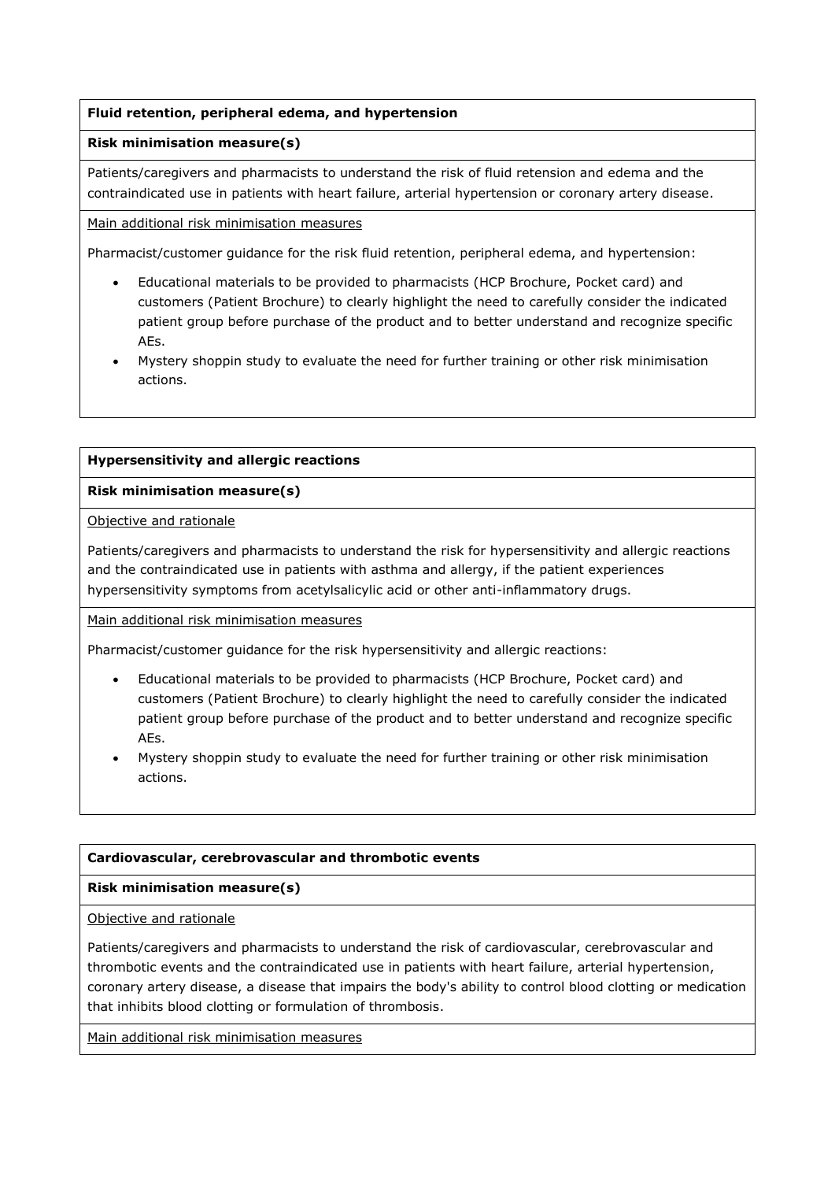# **Fluid retention, peripheral edema, and hypertension**

## **Risk minimisation measure(s)**

Patients/caregivers and pharmacists to understand the risk of fluid retension and edema and the contraindicated use in patients with heart failure, arterial hypertension or coronary artery disease.

Main additional risk minimisation measures

Pharmacist/customer guidance for the risk fluid retention, peripheral edema, and hypertension:

- Educational materials to be provided to pharmacists (HCP Brochure, Pocket card) and customers (Patient Brochure) to clearly highlight the need to carefully consider the indicated patient group before purchase of the product and to better understand and recognize specific AEs.
- Mystery shoppin study to evaluate the need for further training or other risk minimisation actions.

# **Hypersensitivity and allergic reactions**

# **Risk minimisation measure(s)**

Objective and rationale

Patients/caregivers and pharmacists to understand the risk for hypersensitivity and allergic reactions and the contraindicated use in patients with asthma and allergy, if the patient experiences hypersensitivity symptoms from acetylsalicylic acid or other anti-inflammatory drugs.

Main additional risk minimisation measures

Pharmacist/customer guidance for the risk hypersensitivity and allergic reactions:

- Educational materials to be provided to pharmacists (HCP Brochure, Pocket card) and customers (Patient Brochure) to clearly highlight the need to carefully consider the indicated patient group before purchase of the product and to better understand and recognize specific AEs.
- Mystery shoppin study to evaluate the need for further training or other risk minimisation actions.

## **Cardiovascular, cerebrovascular and thrombotic events**

# **Risk minimisation measure(s)**

## Objective and rationale

Patients/caregivers and pharmacists to understand the risk of cardiovascular, cerebrovascular and thrombotic events and the contraindicated use in patients with heart failure, arterial hypertension, coronary artery disease, a disease that impairs the body's ability to control blood clotting or medication that inhibits blood clotting or formulation of thrombosis.

Main additional risk minimisation measures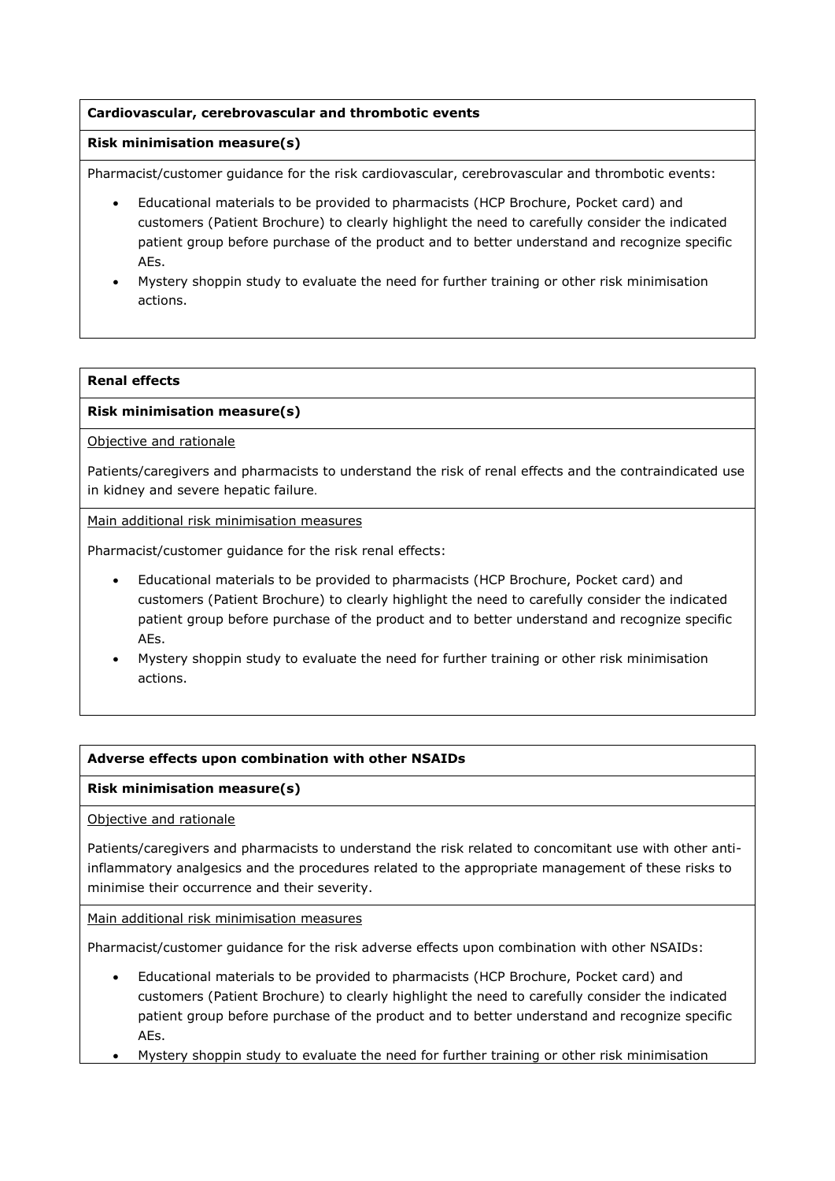# **Cardiovascular, cerebrovascular and thrombotic events**

# **Risk minimisation measure(s)**

Pharmacist/customer guidance for the risk cardiovascular, cerebrovascular and thrombotic events:

- Educational materials to be provided to pharmacists (HCP Brochure, Pocket card) and customers (Patient Brochure) to clearly highlight the need to carefully consider the indicated patient group before purchase of the product and to better understand and recognize specific AEs.
- Mystery shoppin study to evaluate the need for further training or other risk minimisation actions.

# **Renal effects**

## **Risk minimisation measure(s)**

Objective and rationale

Patients/caregivers and pharmacists to understand the risk of renal effects and the contraindicated use in kidney and severe hepatic failure.

Main additional risk minimisation measures

Pharmacist/customer guidance for the risk renal effects:

- Educational materials to be provided to pharmacists (HCP Brochure, Pocket card) and customers (Patient Brochure) to clearly highlight the need to carefully consider the indicated patient group before purchase of the product and to better understand and recognize specific AEs.
- Mystery shoppin study to evaluate the need for further training or other risk minimisation actions.

## **Adverse effects upon combination with other NSAIDs**

## **Risk minimisation measure(s)**

Objective and rationale

Patients/caregivers and pharmacists to understand the risk related to concomitant use with other antiinflammatory analgesics and the procedures related to the appropriate management of these risks to minimise their occurrence and their severity.

Main additional risk minimisation measures

Pharmacist/customer guidance for the risk adverse effects upon combination with other NSAIDs:

- Educational materials to be provided to pharmacists (HCP Brochure, Pocket card) and customers (Patient Brochure) to clearly highlight the need to carefully consider the indicated patient group before purchase of the product and to better understand and recognize specific AEs.
- Mystery shoppin study to evaluate the need for further training or other risk minimisation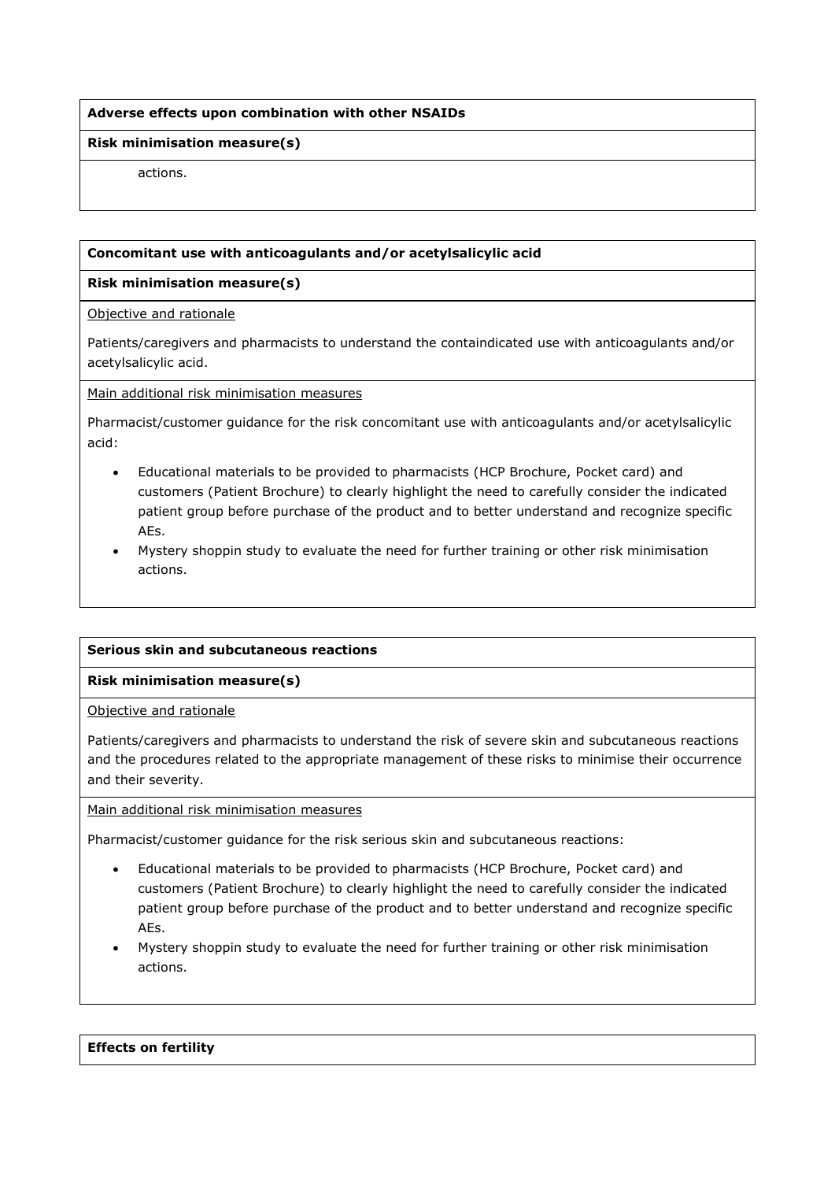# **Adverse effects upon combination with other NSAIDs**

#### **Risk minimisation measure(s)**

actions.

## **Concomitant use with anticoagulants and/or acetylsalicylic acid**

#### **Risk minimisation measure(s)**

Objective and rationale

Patients/caregivers and pharmacists to understand the containdicated use with anticoagulants and/or acetylsalicylic acid.

Main additional risk minimisation measures

Pharmacist/customer guidance for the risk concomitant use with anticoagulants and/or acetylsalicylic acid:

- Educational materials to be provided to pharmacists (HCP Brochure, Pocket card) and customers (Patient Brochure) to clearly highlight the need to carefully consider the indicated patient group before purchase of the product and to better understand and recognize specific AEs.
- Mystery shoppin study to evaluate the need for further training or other risk minimisation actions.

## **Serious skin and subcutaneous reactions**

## **Risk minimisation measure(s)**

Objective and rationale

Patients/caregivers and pharmacists to understand the risk of severe skin and subcutaneous reactions and the procedures related to the appropriate management of these risks to minimise their occurrence and their severity.

#### Main additional risk minimisation measures

Pharmacist/customer guidance for the risk serious skin and subcutaneous reactions:

- Educational materials to be provided to pharmacists (HCP Brochure, Pocket card) and customers (Patient Brochure) to clearly highlight the need to carefully consider the indicated patient group before purchase of the product and to better understand and recognize specific AEs.
- Mystery shoppin study to evaluate the need for further training or other risk minimisation actions.

#### **Effects on fertility**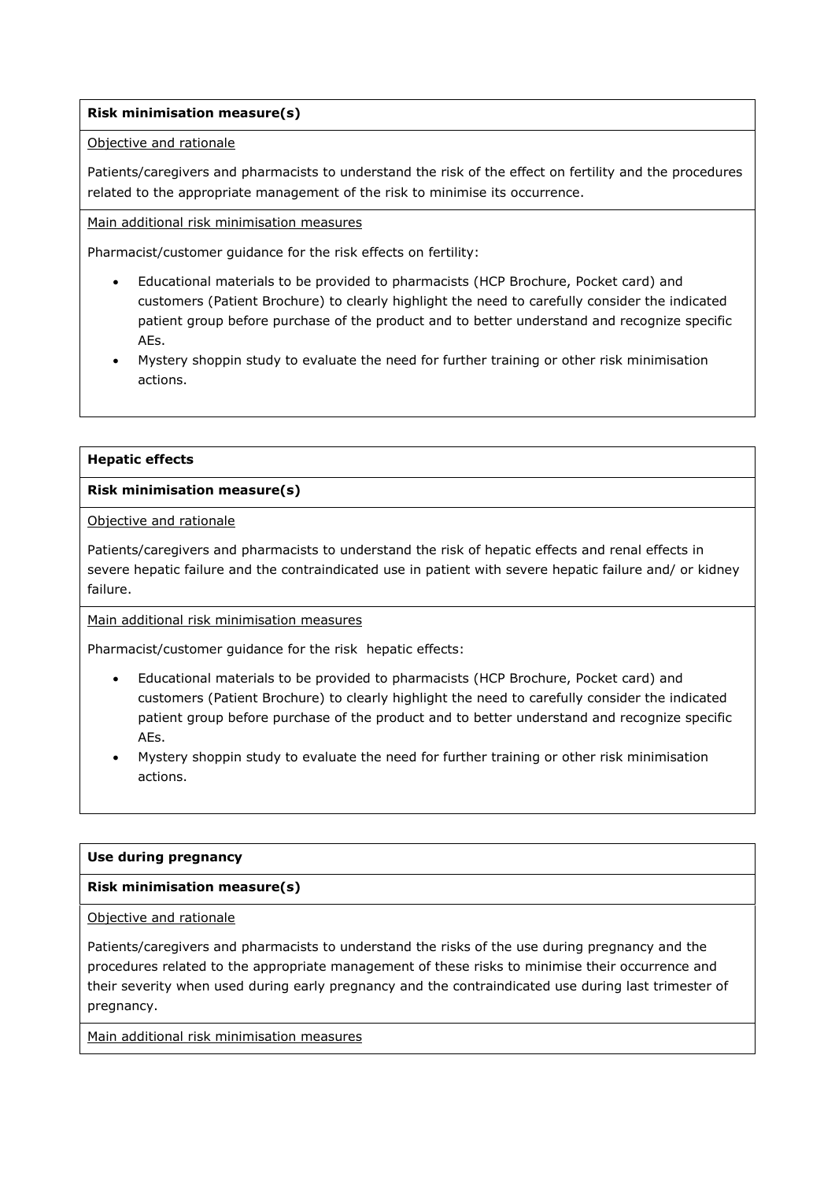# **Risk minimisation measure(s)**

#### Objective and rationale

Patients/caregivers and pharmacists to understand the risk of the effect on fertility and the procedures related to the appropriate management of the risk to minimise its occurrence.

Main additional risk minimisation measures

Pharmacist/customer guidance for the risk effects on fertility:

- Educational materials to be provided to pharmacists (HCP Brochure, Pocket card) and customers (Patient Brochure) to clearly highlight the need to carefully consider the indicated patient group before purchase of the product and to better understand and recognize specific AEs.
- Mystery shoppin study to evaluate the need for further training or other risk minimisation actions.

#### **Hepatic effects**

## **Risk minimisation measure(s)**

Objective and rationale

Patients/caregivers and pharmacists to understand the risk of hepatic effects and renal effects in severe hepatic failure and the contraindicated use in patient with severe hepatic failure and/ or kidney failure.

Main additional risk minimisation measures

Pharmacist/customer guidance for the risk hepatic effects:

- Educational materials to be provided to pharmacists (HCP Brochure, Pocket card) and customers (Patient Brochure) to clearly highlight the need to carefully consider the indicated patient group before purchase of the product and to better understand and recognize specific AEs.
- Mystery shoppin study to evaluate the need for further training or other risk minimisation actions.

#### **Use during pregnancy**

## **Risk minimisation measure(s)**

Objective and rationale

Patients/caregivers and pharmacists to understand the risks of the use during pregnancy and the procedures related to the appropriate management of these risks to minimise their occurrence and their severity when used during early pregnancy and the contraindicated use during last trimester of pregnancy.

Main additional risk minimisation measures